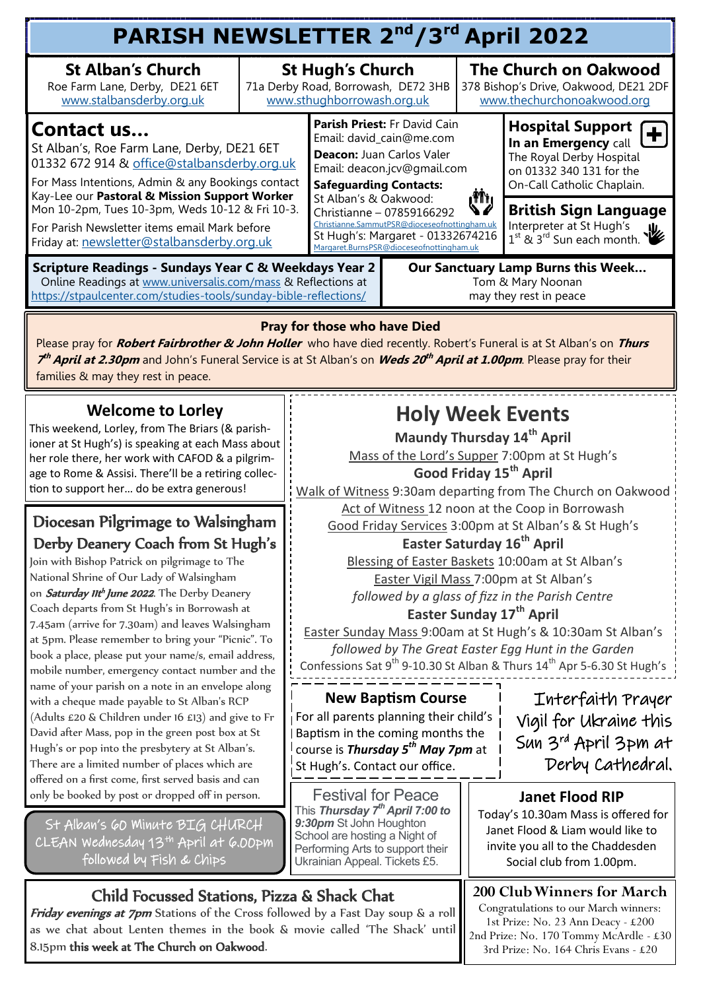#### **PARISH NEWSLETTER 2nd/3rd April 2022 St Alban's Church** Roe Farm Lane, Derby, DE21 6ET [www.stalbansderby.org.uk](http://www.stalbansderby.org.uk) **St Hugh's Church**  71a Derby Road, Borrowash, DE72 3HB [www.sthughborrowash.org.uk](http://www.sthughborrowash.org.uk) **The Church on Oakwood**  378 Bishop's Drive, Oakwood, DE21 2DF [www.thechurchonoakwood.org](http://www.thechurchonoakwood.org) **Parish Priest:** Fr David Cain Email: david\_cain@me.com **Deacon:** Juan Carlos Valer Email: deacon.jcv@gmail.com **Safeguarding Contacts:** St Alban's & Oakwood: Christianne – 07859166292 [Christianne.SammutPSR@dioceseofnottingham.uk](mailto:Christianne.SammutPSR@dioceseofnottingham.uk) St Hugh's: Margaret - 01332674216 [Margaret.BurnsPSR@dioceseofnottingham.uk](mailto:Margaret.BurnsPSR@dioceseofnottingham.uk) **Hospital Support In an Emergency** call The Royal Derby Hospital on 01332 340 131 for the On-Call Catholic Chaplain. **Contact us…**  St Alban's, Roe Farm Lane, Derby, DE21 6ET 01332 672 914 & [office@stalbansderby.org.uk](mailto:office@stalbansderby.org.uk) For Mass Intentions, Admin & any Bookings contact Kay-Lee our **Pastoral & Mission Support Worker**  Mon 10-2pm, Tues 10-3pm, Weds 10-12 & Fri 10-3. For Parish Newsletter items email Mark before Friday at: [newsletter@stalbansderby.org.uk](mailto:newsletter@stalbansderby.org.uk) **British Sign Language** Interpreter at St Hugh's 1<sup>st</sup> & 3<sup>rd</sup> Sun each month. **Scripture Readings - Sundays Year C & Weekdays Year 2** Online Readings at [www.universalis.com/mass](http://www.universalis.com/mass) & Reflections at <https://stpaulcenter.com/studies-tools/sunday-bible-reflections/> **Our Sanctuary Lamp Burns this Week…** Tom & Mary Noonan may they rest in peace

#### **Pray for those who have Died**

Please pray for **Robert Fairbrother & John Holler** who have died recently. Robert's Funeral is at St Alban's on **Thurs 7 th April at 2.30pm** and John's Funeral Service is at St Alban's on **Weds 20 th April at 1.00pm**. Please pray for their families & may they rest in peace.

#### **Welcome to Lorley**

This weekend, Lorley, from The Briars (& parishioner at St Hugh's) is speaking at each Mass about her role there, her work with CAFOD & a pilgrimage to Rome & Assisi. There'll be a retiring collection to support her… do be extra generous!

#### Diocesan Pilgrimage to Walsingham Derby Deanery Coach from St Hugh's

Join with Bishop Patrick on pilgrimage to The National Shrine of Our Lady of Walsingham on Saturday IIth June 2022. The Derby Deanery Coach departs from St Hugh's in Borrowash at 7.45am (arrive for 7.30am) and leaves Walsingham at 5pm. Please remember to bring your "Picnic". To book a place, please put your name/s, email address, mobile number, emergency contact number and the name of your parish on a note in an envelope along with a cheque made payable to St Alban's RCP (Adults £20 & Children under 16 £13) and give to Fr David after Mass, pop in the green post box at St Hugh's or pop into the presbytery at St Alban's. There are a limited number of places which are offered on a first come, first served basis and can only be booked by post or dropped off in person.  $\Box$  Festival for Peace

St Alban's 60 Minute BIG CHURCH CLEAN Wednesday 13th April at 6.00pm followed by Fish & Chips

### **Holy Week Events**

**Maundy Thursday 14th April** Mass of the Lord's Supper 7:00pm at St Hugh's **Good Friday 15th April**

Walk of Witness 9:30am departing from The Church on Oakwood Act of Witness 12 noon at the Coop in Borrowash

Good Friday Services 3:00pm at St Alban's & St Hugh's **Easter Saturday 16th April**

Blessing of Easter Baskets 10:00am at St Alban's Easter Vigil Mass 7:00pm at St Alban's *followed by a glass of fizz in the Parish Centre*

#### **Easter Sunday 17th April**

Easter Sunday Mass 9:00am at St Hugh's & 10:30am St Alban's *followed by The Great Easter Egg Hunt in the Garden* Confessions Sat  $9^{th}$  9-10.30 St Alban & Thurs  $14^{th}$  Apr 5-6.30 St Hugh's

#### **New Baptism Course**

For all parents planning their child's Baptism in the coming months the course is *Thursday 5th May 7pm* at St Hugh's. Contact our office.

This *Thursday 7th April 7:00 to 9:30pm* St John Houghton School are hosting a Night of Performing Arts to support their Ukrainian Appeal. Tickets £5.

#### Interfaith Prayer Vigil for Ukraine this Sun 3rd April 3pm at Derby Cathedral.

#### **Janet Flood RIP**

Today's 10.30am Mass is offered for Janet Flood & Liam would like to invite you all to the Chaddesden Social club from 1.00pm.

#### **200 Club Winners for March**

Congratulations to our March winners: 1st Prize: No. 23 Ann Deacy - £200 2nd Prize: No. 170 Tommy McArdle - £30 3rd Prize: No. 164 Chris Evans - £20

### Child Focussed Stations, Pizza & Shack Chat

Friday evenings at 7pm Stations of the Cross followed by a Fast Day soup & a roll as we chat about Lenten themes in the book & movie called 'The Shack' until 8.15pm this week at The Church on Oakwood.